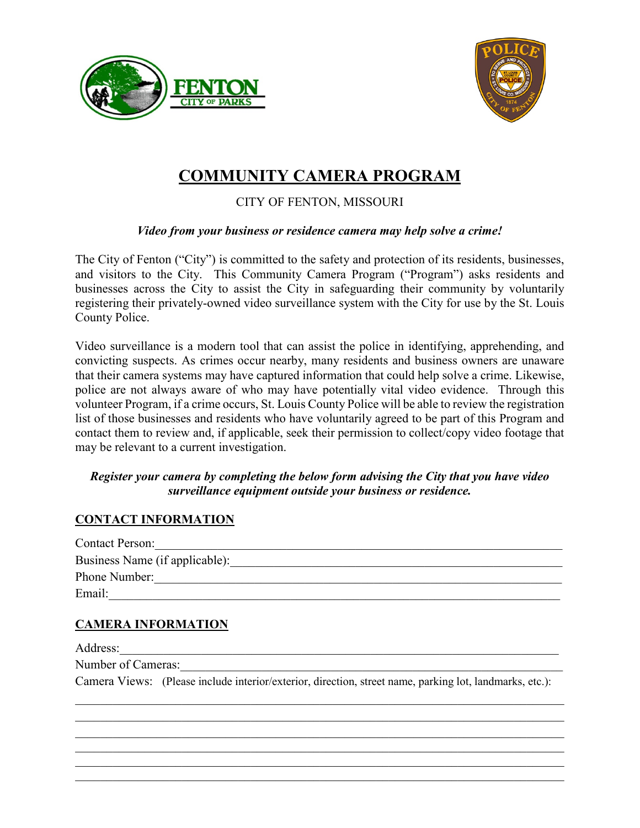



# **COMMUNITY CAMERA PROGRAM** CITY OF FENTON, MISSOURI

### *Video from your business or residence camera may help solve a crime!*

The City of Fenton ("City") is committed to the safety and protection of its residents, businesses, and visitors to the City. This Community Camera Program ("Program") asks residents and businesses across the City to assist the City in safeguarding their community by voluntarily registering their privately-owned video surveillance system with the City for use by the St. Louis County Police.

Video surveillance is a modern tool that can assist the police in identifying, apprehending, and convicting suspects. As crimes occur nearby, many residents and business owners are unaware that their camera systems may have captured information that could help solve a crime. Likewise, police are not always aware of who may have potentially vital video evidence. Through this volunteer Program, if a crime occurs, St. Louis County Police will be able to review the registration list of those businesses and residents who have voluntarily agreed to be part of this Program and contact them to review and, if applicable, seek their permission to collect/copy video footage that may be relevant to a current investigation.

#### *Register your camera by completing the below form advising the City that you have video surveillance equipment outside your business or residence.*

#### **CONTACT INFORMATION**

| <b>Contact Person:</b>         |
|--------------------------------|
| Business Name (if applicable): |
| Phone Number:                  |
| Email:                         |

## **CAMERA INFORMATION**

Address:\_\_\_\_\_\_\_\_\_\_\_\_\_\_\_\_\_\_\_\_\_\_\_\_\_\_\_\_\_\_\_\_\_\_\_\_\_\_\_\_\_\_\_\_\_\_\_\_\_\_\_\_\_\_\_\_\_\_\_\_\_\_\_\_\_\_\_\_\_\_

Number of Cameras:

Camera Views: (Please include interior/exterior, direction, street name, parking lot, landmarks, etc.):

\_\_\_\_\_\_\_\_\_\_\_\_\_\_\_\_\_\_\_\_\_\_\_\_\_\_\_\_\_\_\_\_\_\_\_\_\_\_\_\_\_\_\_\_\_\_\_\_\_\_\_\_\_\_\_\_\_\_\_\_\_\_\_\_\_\_\_\_\_\_\_\_\_\_\_\_\_\_

\_\_\_\_\_\_\_\_\_\_\_\_\_\_\_\_\_\_\_\_\_\_\_\_\_\_\_\_\_\_\_\_\_\_\_\_\_\_\_\_\_\_\_\_\_\_\_\_\_\_\_\_\_\_\_\_\_\_\_\_\_\_\_\_\_\_\_\_\_\_\_\_\_\_\_\_\_\_